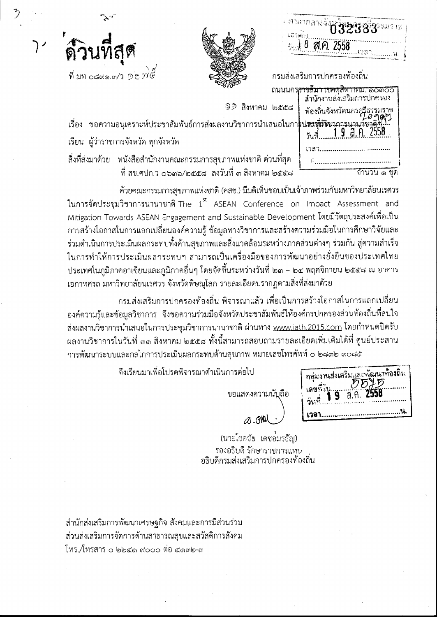| 8 ส.ค. 2558



้กรมส่งเสริมการปกครองท้องถิ่น

เขลืมา เขตตุสิตาาทม. ดอลออ สำนักงานส่งเสริมการปกครอง ท้องถิ่นจังหวัดนครศรีธรรมราช ชด

ออ สิงหาคม ๒๕๕๘

้เรื่อง ขอความอนุเคราะห์ประชาสัมพันธ์การส่งผลงานวิชาการนำเสนอในกา**รป<del>ระ</del>พุ่มัง**ชาการ เรียน ผู้ว่าราชการจังหวัด ทุกจังหวัด

ด้วิน

ที่ มท ๐๘๙๑.๓/ว ๑๖ $\gamma$ ี

สิ่งที่ส่งมาด้วย หนังสือสำนักงานคณะกรรมการสุขภาพแห่งชาติ ด่วนที่สุด ที่ สช.ศปก.ว ๐๖๓๖/๒๕๕๘ ลงวันที่ ๓ สิงหาคม ๒๕๕๘

้ด้วยคณะกรรมการสุขภาพแห่งชาติ (คสช.) มีมติเห็นชอบเป็นเจ้าภาพร่วมกับมหาวิทยาลัยนเรศวร ในการจัดประชุมวิชาการนานาชาติ The 1<sup>st</sup> ASEAN Conference on Impact Assessment and Mitigation Towards ASEAN Engagement and Sustainable Development โดยมีวัตถุประสงค์เพื่อเป็น ้การสร้างโอกาสในการแลกเปลี่ยนองค์ความรู้ ข้อมูลทางวิชาการและสร้างความร่วมมือในการศึกษาวิจัยและ ้ร่วมดำเนินการประเมินผลกระทบทั้งด้านสุขภาพและสิ่งแวดล้อมระหว่างภาคส่วนต่างๆ ร่วมกัน สู่ความสำเร็จ ในการทำให้การประเมินผลกระทบฯ สามารถเป็นเครื่องมือของการพัฒนาอย่างยั่งยืนของประเทศไทย ประเทศในภูมิภาคอาเซียนและภูมิภาคอื่นๆ โดยจัดขึ้นระหว่างวันที่ ๒๓ – ๒๔ พฤศจิกายน ๒๕๕๘ ณ อาคาร ้เอกาทศรถ มหาวิทยาลัยนเรศวร จังหวัดพิษณุโลก รายละเอียดปรากฏตามสิ่งที่ส่งมาด้วย

กรมส่งเสริมการปกครองท้องถิ่น พิจารณาแล้ว เพื่อเป็นการสร้างโอกาสในการแลกเปลี่ยน ้องค์ความรู้และข้อมูลวิชาการ จึงขอความร่วมมือจังหวัดประชาสัมพันธ์ให้องค์กรปกครองส่วนท้องถิ่นที่สนใจ ส่งผลงานวิชาการนำเสนอในการประชุมวิชาการนานาชาติ ผ่านทาง www.iath.2015.com โดยกำหนดปิดรับ ผลงานวิชาการในวันที่ ๓๑ สิงหาคม ๒๕๕๘ ทั้งนี้สามารถสอบถามรายละเอียดเพิ่มเติมได้ที่ ศูนย์ประสาน การพัฒนาระบบและกลไกการประเมินผลกระทบด้านสุขภาพ หมายเลขโทรศัพท์ ๐ ๒๘๓๒ ๙๐๘๕

จึงเรียนมาเพื่อโปรดพิจารณาดำเนินการต่อไป

ขอแสดงความนับถือ

กลุ่มงานส่งเสริม<u>แล</u>ะพู้ฒนาท้องถิ่น **OOFO TA.A. 2558** 

 $A \sim 0$ 

(นายโชคชัย เดชอมรธัญ) รองอธิบดี รักษาราชการแทบ อธิบดีกรมส่งเสริมการปกครองท้องถิ่น

้สำนักส่งเสริมการพัฒนาเศรษฐกิจ สังคมและการมีส่วนร่วม ส่วนส่งเสริมการจัดการด้านสาธารณสุขและสวัสดิการสังคม โทร./โทรสาร ๐ ๒๒๔๑ ๙๐๐๐ ต่อ ๔๑๓๒-๓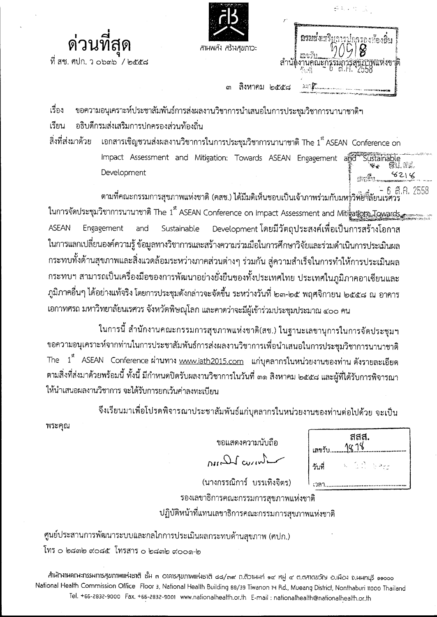|         | きちょか よう  |                                    |  |  |
|---------|----------|------------------------------------|--|--|
|         |          |                                    |  |  |
| כותשה:  |          | ตรมส่งเสริมธารปกครองเอื้อง<br>53Y1 |  |  |
|         |          | สำนัติ์จานคณะกรรมการสุ่ขภาพแห่งชา  |  |  |
| สิงหาคม | ්ගේ දේශී | 22 P                               |  |  |

เรื่อง ขอความอนุเคราะห์ประชาสัมพันธ์การส่งผลงานวิชาการนำเสนอในการประชุมวิชาการนานาชาติฯ

อธิบดีกรมส่งเสริมการปกครองส่วนท้องถิ่น เรียน

์ด่วนทิ

ที่ สช. ศปก. ว ๐๖๓๖ / ๒๕๕๘

สิ่งที่ส่งมาด้วย เอกสารเชิญชวนส่งผลงานวิชาการในการประชุมวิชาการนานาชาติ The 1st ASEAN Conference on Impact Assessment and Mitigation: Towards ASEAN Engagement and Sustainable  $D$ evelopment  $^{3}$   $\sim$  2.1  $\leq$ 

 $\sum_{\text{WZ}}$ 

~l1J~flru~flT~1Jm~?!"llJl1~bb'Vi\l'lll~ (fl?!'ll.) lJlil1J~b ~'U'll€ltJb'U'Ub:il\f11~~J1Jn'U1JvJ~i4'y~~m~b*~~J~'* R, <sup>2558</sup> .. <sup>f</sup> ในการจัดประชุมวิชาการนานาชาติ The 1 $^{\rm st}$  ASEAN Conference on Impact Assessment and Miti $_{\rm gal}^{\rm in}$ Towards  $_{\rm acc}$ ASEAN Engagement and Sustainable Development โดยมีวัตถุประสงค์เพื่อเป็นการสร้างโอกาส ในการแลกเปลี่ยนองค์ความรู้ ข้อมูลทางวิชาการและสร้างความร่วมมือในการศึกษาวิจัยและร่วมดำเนินการประเมินผล กระทบทั้งด้านสุขภาพและสิ่งแวดล้อมระหว่างภาคส่วนต่างๆ ร่วมกัน สู่ความสำเร็จในการทำให้การประเมินผล กระทบฯ สามารถเป็นเครื่องมือของการพัฒนาอย่างยังยืนของทั้งประเทศไทย ประเทศในภูมิภาคอาเซียนและ ภูมิภาคอื่นๆ ได้อย่างแท้จริง โดยการประชุมดังกล่าวจะจัดขึ้น ระหว่างวันที่ ๒๓-๒๕ พฤศจิกายน ๒๕๕๘ ณ อาคาร เอกาทศรถ มหาวทยาลัยนเรศวร จังหวัดพิษณุโลก และคาดว่าจะมีผู้เข้าร่วมประชุมประมาณ ๔๐๐ คน

ในการนี้ สำนักงานคณะกรรมการสุขภาพแห่งชาติ(สช.) ในฐานะเลขานุการในการจัดประชุมฯ ขอความอนุเคราะห์จากท่านในการประชาสัมพันธ์การส่งผลงานวิชาการเพื่อนำเสนอในการประชุมวิชาการนานาชาติ The  $1^{\text{st}}$  ASEAN Conference ผ่านทาง <u>www.iath2015.com</u> แก่บุคลากรในหน่วยงานของท่าน ดังรายละเอียด ตามสงทสงมาดวยพรอมน ทงน มกาหนดปดรบผลงานวิชาการในวันที ๓๑ สิงหาคม ๒๕๕๘ และผู้ที่ได้รับการพิจารณ ให้นำเสนอผลงานวิชาการ จะได้รับการยกเว้นค่าลงทะเบียน

จึงเรียนมาเพื่อโปรดพิจารณาประชาสัมพันธ์แก่บุคลากรในหน่วยงานของท่านต่อไปด้วย จะเป็น

พระคุณ

ขอแสดงความนับถือ

สส**ส**. <u>เลขรับ.........18.18</u> วับที่ ~·1l:11 .

 $\mathcal{A}_{\text{uvw}}$ 

(นางกรรณิการ์ บรรเทิงจิตร)

รองเลขาธิการคณะกรรมการสุขภาพแห่งชาติ ปฏิบัติหน้าที่แทนเลขาธิการคณะกรรมการสุขภาพแห่งชาติ

ศูนย์ประสานการพัฒนาระบบและกลไกการประเมินผลกระทบด้านสุขภาพ (ศปก.)

โทร ๐ ๒๘๓๒ ๙๐๘๕ โทรสาร ๐ ๒๘๓๒ ๙๐๐๑-๒

r1l1.rn.mlAf1.-I:nSSHmSi'Jumwllti~ljlCi tfH !!1 OlAlS?jumWJlK~~lC'i*c.c./!!1€lC* r1.C1:)lHHrl*.,c£* H0 *c£* C'J.C1t'llClU5rY O.J~O~ D.HHm{S ""000 National Health Commission Office Floor 3, National Health Building 88/39 Tiwanon 14 Rd., Mueang District, Nonthaburi 11000 Thailand Tel. +66-2832-9000 Fax. +66-2832-9001 www.nationalhealth.or.th E-mail: nationalhealth@nationalhealth.or.th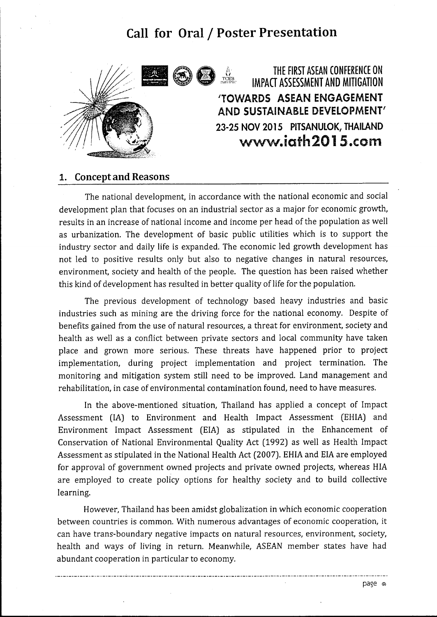## **Call for Oral/Poster Presentation**



## **1. Concept and Reasons**

The national development, in accordance with the national economic and social development plan that focuses on an industrial sector as a major for economic growth, results in an increase of national income and income per head of the population as well as urbanization. The development of basic public utilities which is to support the industry sector and daily life is expanded. The economic led growth development has not led to positive results only but also to negative changes in natural resources, environment, society and health of the people. The question has been raised whether this kind of development has resulted in better quality of life for the population.

The previous development of technology based heavy industries and basic industries such as mining are the driving force for the national economy. Despite of benefits gained from the use of natural resources, a threat for environment, society and health as well as a conflict between private sectors and local community have taken place and grown more serious. These threats have happened prior to project implementation, during project implementation and project termination. The monitoring and mitigation system still need to be improved. Land management and rehabilitation, in case of environmental contamination found, need to have measures.

In the above-mentioned situation, Thailand has applied a concept of Impact Assessment (IA) to Environment and Health Impact Assessment (EHIA) and Environment Impact Assessment (EIA) as stipulated in the Enhancement of Conservation of National Environmental Quality Act (1992) as well as Health Impact Assessment as stipulated in the National Health Act (2007). EHIA and EIA are employed for approval of government owned projects and private owned projects, whereas HIA are employed to create policy options for healthy society and to build collective learning.

However, Thailand has been amidst globalization in which economic cooperation between countries is common. With numerous advantages of economic cooperation, it can have trans-boundary negative impacts on natural resources, environment, society, health and ways of living in return. Meanwhile, ASEAN member states have had abundant cooperation in particular to economy.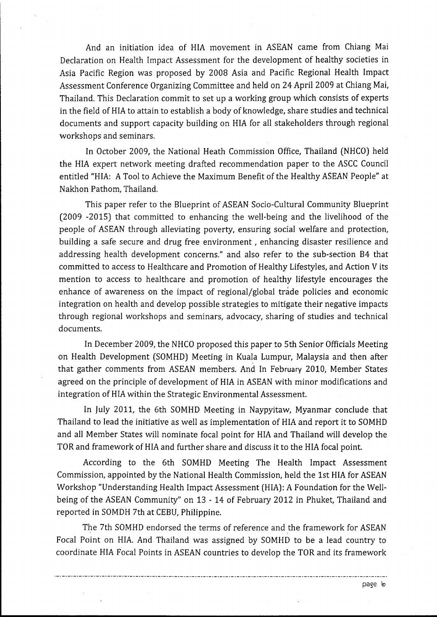And an initiation idea of HIA movement in ASEAN came from Chiang Mai Declaration on Health Impact Assessment for the development of healthy societies in Asia Pacific Region was proposed by 2008 Asia and Pacific Regional Health Impact Assessment Conference Organizing Committee and held on 24 April 2009 at Chiang Mai, Thailand. This Declaration commit to set up a working group which consists of experts in the field of HIA to attain to establish a body of knowledge, share studies and technical documents and support capacity building on HIA for all stakeholders through regional workshops and seminars.

In October 2009, the National Heath Commission Office, Thailand (NHCO) held the HIA expert network meeting drafted recommendation paper to the ASCC Council entitled "HIA: A Tool to Achieve the Maximum Benefit of the Healthy ASEAN People" at Nakhon Pathom, Thailand.

This paper refer to the Blueprint of ASEAN Socio-Cultural Community Blueprint (2009 -2015) that committed to enhancing the well-being and the livelihood of the people of ASEAN through alleviating poverty, ensuring social welfare and protection, building a safe secure and drug free environment, enhancing disaster resilience and addressing health development concerns." and also refer to the sub-section B4 that committed to access to Healthcare and Promotion of Healthy Lifestyles, and Action V its mention to access to healthcare and promotion of healthy lifestyle encourages the enhance of awareness on the impact of regional/global trade policies and economic integration on health and develop possible strategies to mitigate their negative impacts through regional workshops and seminars, advocacy, sharing of studies and technical documents.

In December 2009, the NHCO proposed this paper to 5th Senior Officials Meeting on Health Development (SOMHD) Meeting in Kuala Lumpur, Malaysia and then after that gather comments from ASEAN members. And In February 2010, Member States agreed on the principle of development of HIA in ASEAN with minor modifications and integration of HIA within the Strategic Environmental Assessment.

In July 2011, the 6th SOMHD Meeting in Naypyitaw, Myanmar conclude that Thailand to lead the initiative as well as implementation of HIA and report it to SOMHD and all Member States will nominate focal point for HIA and Thailand will develop the TOR and framework of HIA and further share and discuss it to the HIA focal point.

According to the 6th SOMHD Meeting The Health Impact Assessment Commission, appointed by the National Health Commission, held the 1st HIA for ASEAN Workshop "Understanding Health Impact Assessment (HIA): A Foundation for the Wellbeing of the ASEAN Community" on 13 - 14 of February 2012 in Phuket, Thailand and reported in SOMDH 7th at CEBU, Philippine.

The 7th SOMHD endorsed the terms of reference and the framework for ASEAN Focal Point on HIA. And Thailand was assigned by SOMHD to be a lead country to coordinate HIA Focal Points in ASEAN countries to develop the TOR and its framework

page b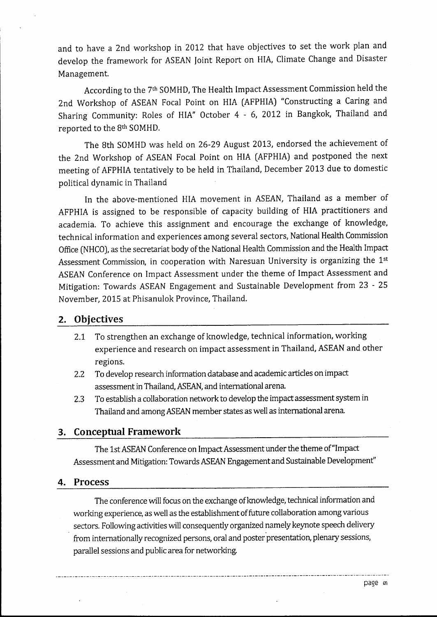and to have a 2nd workshop in 2012 that have objectives to set the work plan and develop the framework for ASEAN Joint Report on HIA, Climate Change and Disaster Management.

According to the 7th SOMHD, The Health Impact Assessment Commission held the 2nd Workshop of ASEAN Focal Point on HIA (AFPHIA) "Constructing a Caring and Sharing Community: Roles of HIA" October 4 - 6, 2012 in Bangkok, Thailand and reported to the 8<sup>th</sup> SOMHD.

The 8th SOMHD was held on 26-29 August 2013, endorsed the achievement of the 2nd Workshop of ASEAN Focal Point on HIA (AFPHIA) and postponed the next meeting of AFPHIA tentatively to be held in Thailand, December 2013 due to domestic political dynamic in Thailand

In the above-mentioned HIA movement in ASEAN, Thailand as a member of AFPHIA is assigned to be responsible of capacity building of HIA practitioners and academia. To achieve this assignment and encourage the exchange of knowledge, technical information and experiences among several sectors, National Health Commission Office (NHCO), as the secretariat body of the National Health Commission and the Health Impact Assessment Commission, in cooperation with Naresuan University is organizing the 1st ASEAN Conference on Impact Assessment under the theme of Impact Assessment and Mitigation: Towards ASEAN Engagement and Sustainable Development from 23 - 25 November, 2015 at Phisanulok Province, Thailand.

#### **2. Objectives**

- 2.1 To strengthen an exchange of knowledge, technical information, working experience and research on impact assessment in Thailand, ASEAN and other regions.
- 2.2 To develop research information database and academic articles on impact assessment in Thailand, ASEAN, and international arena.
- 2.3 To establish a collaboration network to develop the impact assessment system in Thailand and among ASEAN member states as well as international arena.

### **3. Conceptual Framework**

The 1st ASEAN Conference on Impact Assessment under the theme of "Impact Assessment and Mitigation: Towards ASEANEngagement and Sustainable Development"

#### **4. Process**

The conference will focus on the exchange of knowledge, technical information and working experience, as well as the establishment offuture collaboration among various sectors. Following activities will consequently organized namely keynote speech delivery from internationally recognized persons, oral and poster presentation, plenary sessions, parallel sessions and public area for networking.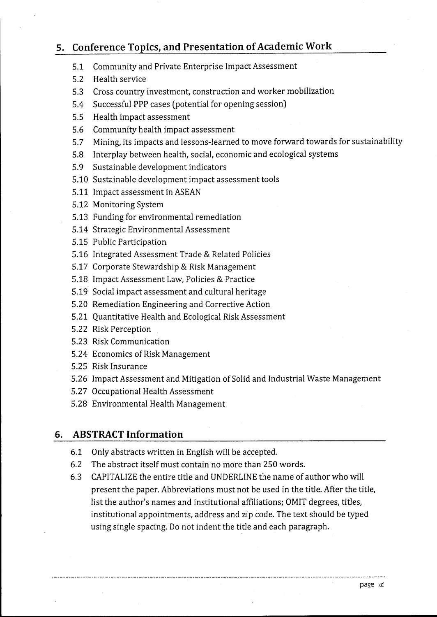## **5. Conference Topics, and Presentation of Academic Work**

- 5.1 Community and Private Enterprise Impact Assessment
- 5.2 Health service
- 5.3 Cross country investment, construction and worker mobilization
- 5.4 Successful PPP cases (potential for opening session)
- 5.5 Health impact assessment
- 5.6 Community health impact assessment
- 5.7 Mining, its impacts and lessons-learned to move forward towards for sustainability
- 5.8 Interplay between health, social, economic and ecological systems
- 5.9 Sustainable development indicators
- 5.10 Sustainable development impact assessment tools
- 5.11 Impact assessment in ASEAN
- 5.12 Monitoring System
- 5.13 Funding for environmental remediation
- 5.14 Strategic Environmental Assessment
- 5.15 Public Participation
- 5.16 Integrated Assessment Trade & Related Policies
- 5.17 Corporate Stewardship & Risk Management
- 5.18 Impact Assessment Law, Policies & Practice
- 5.19 Social impact assessment and cultural heritage
- 5.20 Remediation Engineering and Corrective Action
- 5.21 Quantitative Health and Ecological Risk Assessment
- 5.22 Risk Perception
- 5.23 Risk Communication
- 5.24 Economics of Risk Management
- 5.25 Risk Insurance
- 5.26 Impact Assessment and Mitigation of Solid and Industrial Waste Management
- 5.27 Occupational Health Assessment
- 5.28 Environmental Health Management

## **6. ABSTRACTInformation**

- 6.1 Only abstracts written in English will be accepted.
- 6.2 The abstract itself must contain no more than 250 words.
- 6.3 CAPITALIZE the entire title and UNDERLINE the name of author who will present the paper. Abbreviations must not be used in the title. After the title, list the author's names and institutional affiliations; OMIT degrees, titles, institutional appointments, address and zip code. The text should be typed using single spacing. Do not indent the title and each paragraph.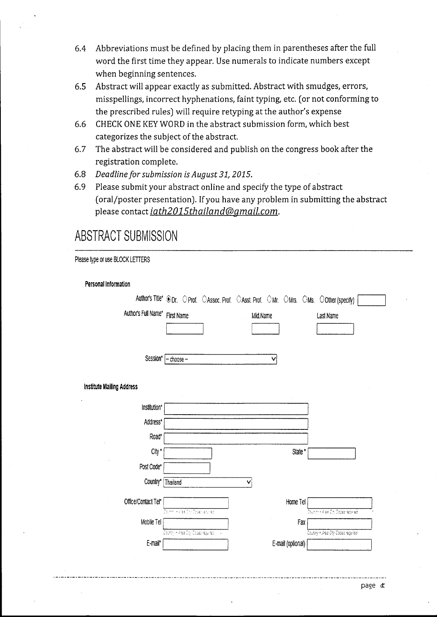- 6.4 Abbreviations must be defined by placing them in parentheses after the full word the first time they appear. Use numerals to indicate numbers except when beginning sentences.
- 6.5 Abstract will appear exactly as submitted. Abstract with smudges, errors, misspellings, incorrect hyphenations, faint typing, etc. (or not conforming to the prescribed rules) will require retyping at the author's expense
- 6.6 CHECK ONE KEY WORD in the abstract submission form, which best categorizes the subject of the abstract.
- 6.7 The abstract will be considered and publish on the congress book after the registration complete.
- *6.8 Deadlinefor submission* is *August 31,2015.*
- 6.9 Please submit your abstract online and specify the type of abstract (oral/poster presentation). Ifyou have any problem in submitting the abstract please contact *iath2015thailand@gmail.com.*

# ABSTRACT SUBMISSION

| Please type or use BLOCK LETTERS |                                                                                         |          |                   |                                    |
|----------------------------------|-----------------------------------------------------------------------------------------|----------|-------------------|------------------------------------|
| Personal Information             |                                                                                         |          |                   |                                    |
|                                  | Author's Title* GDr. OProf. OAssoc. Prof. OAsst. Prof. OMr. OMrs. OMs. OOther (specify) |          |                   |                                    |
| Author's Full Name* First Name   |                                                                                         | Mid.Name |                   | Last Name                          |
|                                  |                                                                                         |          |                   |                                    |
|                                  | Session* $\vert$ - choose -                                                             | v        |                   |                                    |
| Institute Mailing Address        |                                                                                         |          |                   |                                    |
| Institution*                     |                                                                                         |          |                   |                                    |
| Address*                         |                                                                                         |          |                   |                                    |
| Road*                            |                                                                                         |          |                   |                                    |
| City *                           |                                                                                         |          | State *           |                                    |
| Post Code*                       |                                                                                         |          |                   |                                    |
| Country* Thailand                |                                                                                         | v        |                   |                                    |
| Office/Contact Tel*              |                                                                                         |          | Home Tel          |                                    |
| Mobile Tel                       | Tourn - Area Chollines, etc. ed.                                                        |          | Fax               | Chuning - Alse Cop Copez required  |
| E-mail*                          | Country - Area Cop Copes required in                                                    |          | E-mail (optional) | Country + Area Olty Codes required |